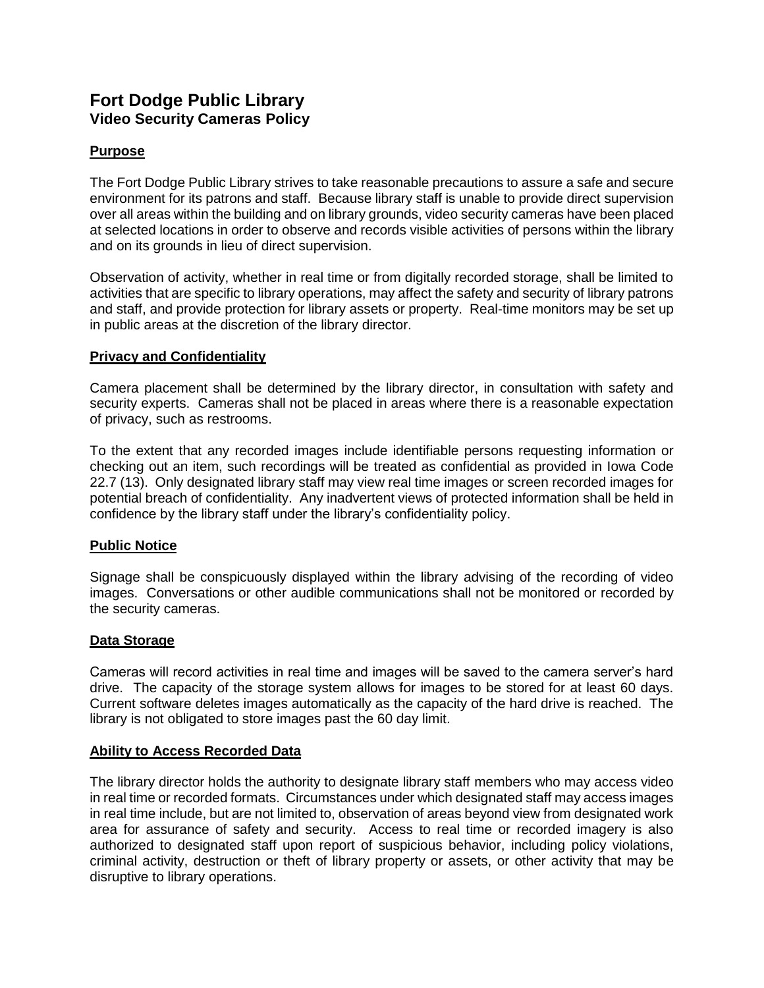# **Fort Dodge Public Library Video Security Cameras Policy**

# **Purpose**

The Fort Dodge Public Library strives to take reasonable precautions to assure a safe and secure environment for its patrons and staff. Because library staff is unable to provide direct supervision over all areas within the building and on library grounds, video security cameras have been placed at selected locations in order to observe and records visible activities of persons within the library and on its grounds in lieu of direct supervision.

Observation of activity, whether in real time or from digitally recorded storage, shall be limited to activities that are specific to library operations, may affect the safety and security of library patrons and staff, and provide protection for library assets or property. Real-time monitors may be set up in public areas at the discretion of the library director.

## **Privacy and Confidentiality**

Camera placement shall be determined by the library director, in consultation with safety and security experts. Cameras shall not be placed in areas where there is a reasonable expectation of privacy, such as restrooms.

To the extent that any recorded images include identifiable persons requesting information or checking out an item, such recordings will be treated as confidential as provided in Iowa Code 22.7 (13). Only designated library staff may view real time images or screen recorded images for potential breach of confidentiality. Any inadvertent views of protected information shall be held in confidence by the library staff under the library's confidentiality policy.

# **Public Notice**

Signage shall be conspicuously displayed within the library advising of the recording of video images. Conversations or other audible communications shall not be monitored or recorded by the security cameras.

#### **Data Storage**

Cameras will record activities in real time and images will be saved to the camera server's hard drive. The capacity of the storage system allows for images to be stored for at least 60 days. Current software deletes images automatically as the capacity of the hard drive is reached. The library is not obligated to store images past the 60 day limit.

#### **Ability to Access Recorded Data**

The library director holds the authority to designate library staff members who may access video in real time or recorded formats. Circumstances under which designated staff may access images in real time include, but are not limited to, observation of areas beyond view from designated work area for assurance of safety and security. Access to real time or recorded imagery is also authorized to designated staff upon report of suspicious behavior, including policy violations, criminal activity, destruction or theft of library property or assets, or other activity that may be disruptive to library operations.